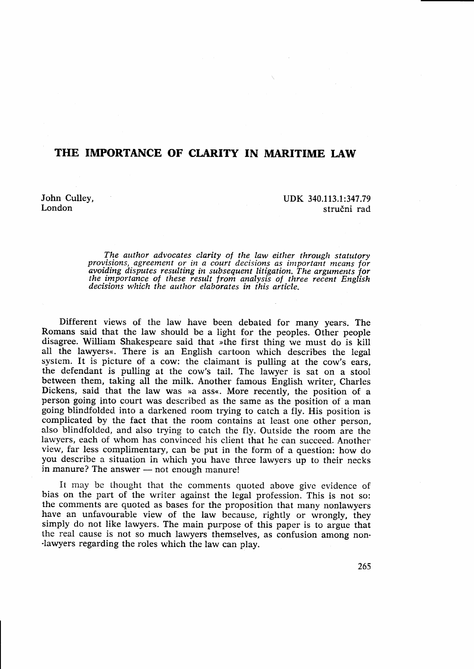## THE IMPORTANCE OF CLARITY IN MARITIME LAW

John Culley, London

UDK 340.113.1:347.79 stručni rad

The author advocates clarity of the law either through statutory provisions, agreement or in a court decisions as important means for avoiding disputes resulting in subsequent litigation. The arguments for the importance of these result from analysis of three recent English the importance of these result from analysis of three recent English decisions which the author elaborates in this article.

Different views of the law have been debated for many years. The Romans said that the law should be a light for the peoples. Other people disagree. William Shakespeare said that  $\ast$ the first thing we must do is kill all the lawyers $\ast$ . There is an English cartoon which describes the legal system. It is picture of a cow: the claimant is pulling at the cow's ears, the defendant is pulling at the cow's tail. The lawyer is sat on a stool between them, taking all the milk. Another famous English writer, Charles Dickens, said that the law was »a ass«. More recently, the position of a person going into court was described as the same as the position of a man going blindfolded into a darkened room trying to catch a fly. His position is complicated by the fact that the room contains at least one other person, also blindfolded, and also trying to catch the fly. Outside the room are the lawyers, each of whom has convinced his client that he can succeed. Another view, far less complimentary, can be put in the form of a question: how do you describe a situation in which you have three lawyers up to their necks in manure? The answer — not enough manure!

It may be thought that the comments quoted above give evidence of bias on the part of the writer against the legal profession. This is not so: the comments are quoted as bases for the proposition that many nonlawyers have an unfavourable view of the law because, rightly or wrongly, they simply do not like lawyers. The main purpose of this paper is to argue that the real cause is not so much lawyers themselves, as confusion among nonlawyers regarding the roles which the law can play.

26s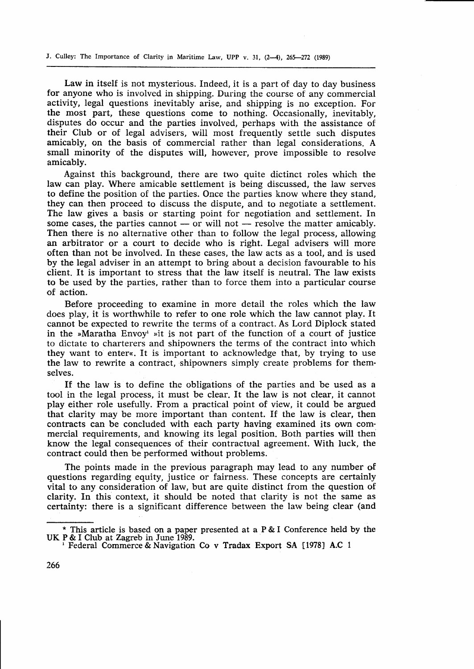J. Culley: The Importance of Clarity in Maritime Law, UPP v. 31,  $(2-4)$ ,  $265-272$  (1989)

Law in itself is not mysterious. Indeed, it is a part of day to day business for anyone who is involved in shipping. During the course of any commercial activity, legal questions inevitably arise, and shipping is no exception. For the most part, these questions come to nothing. Occasionally, inevitably, disputes do occur and the parties involved, perhaps with the assistance of their Club or of legal advisers, will most frequently settle such disputes amicably, or the basis of commercial rather than legal considerations. <sup>A</sup> small minority of the disputes will, however, prove impossible to resolve amicably.

Against this background., there are two quite dictinct roles which the law can play. Where amicable settlement is being discussed, the law serves to define the position of the parties. Once the parties know where they stand, they can then proceed to discuss the dispute, and to negotiate a settlement. The law gives a basis or starting point for negotiation and settlement. In some cases, the parties cannot  $-$  or will not  $-$  resolve the matter amicably. some cases, the parties cannot — or will not — resolve the matter anneably.<br>Then there is no alternative other than to follow the legal process, allowing an arbitrator or a court to decide who is right. Legal advisers will more often than not be involved. In these cases, the law acts as a tool, and is used by the legal adviser in an attempt to bring about a decision favourable to his client. It is important to stress that the law itself is neutral. The law exists to be used by the parties, rather than to force them into a particular course of action.

Before proceeding to examine in more detail the roles which the law does play, it is worthwhile to refer to one role which the law cannot play. It cannot be expected to rewrite the terms of a contract. As Lord Diplock stated in the »Maratha Envoy' »it is not part of the function of a court of justice to dictate to charterers and shipowners the terms of the contract into which they want to enter<. It is important to acknowledge that, by trying to use the law to rewrite a contract, shipowners simply create problems for themselves.

If the law is to define the obligations of the parties and be used as <sup>a</sup> tool in the legal process, it must be clear. It the law is not clear, it cannot play either role usefully. From a practical point of view, it could be argued that clarity may be more important than content. If the law is clear, then contracts can be concluded with each party having examined its own commercial requirements, and knowing its legal position. Both parties will then know the legal consequences of their contractual agreement. With luck, the contract could then be performed without problems.

The points made in the previous paragraph may lead to any number of questions regarding equity, justice or fairness. These concepts are certainly vital to any consideration of law, but are quite distinct from the question of clarity. In this context, it should be noted that clarity is not the same as certainty: there is a significant difference between the law being clear (and

<sup>\*</sup> This article is based on a paper presented at a P & I Conference held by the UK P & I Club at Zagreb in June 1989.

Federal Commerce & Navigation Co v Tradax Export SA [1978] A.C 1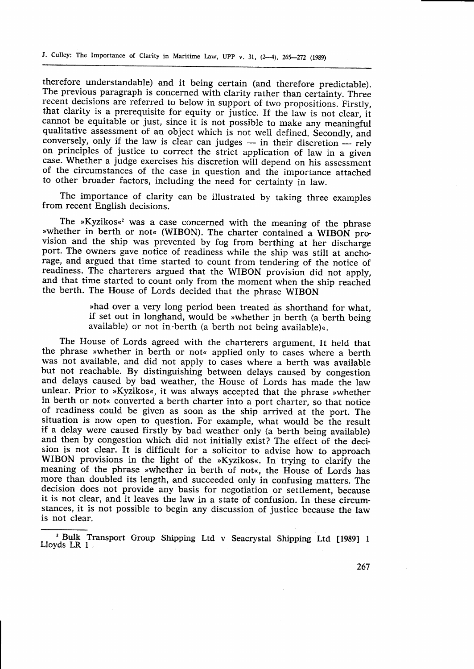therefore understandable) and it being certain (and therefore predictable). The previous paragraph is concerned with clarity rather than certainty. Three recent decisions are referred to below in support of two propositions. Firstly, that clarity is a prerequisite for equity or justice. If the law is not clear, it cannot be equitable or just, since it is not possible to make any meaningful qualitative assessment of an object which is not well defined. Secondly, and quantative assessment of an object which is not wen defined. Secondly, and conversely, only if the law is clear can judges — in their discretion — rely conversely, only if the law is clear can judges – in their discretion – rely<br>on principles of justice to correct the strict application of law in a given case. Whether a judge exercises his discretion will depend on his assessment of the circumstances of the case in question and the importance attached to other broader factors, including the need for certainty in law.

The importance of clarity can be illustrated by taking three examples from recent English decisions.

whether in berth or not« (WIBON). The charter contained a WIBON pro-The »Kyzikos«<sup>2</sup> was a case concerned with the meaning of the phrase vision and the ship was prevented by fog from berthing at her discharge port. The owners gave notice of readiness while the ship was still at anchorage, and argued that time started to count from tendering of the notice of readiness. The charterers argued that the WIBON provision did not apply, and that time started to count only from the moment when the ship reached the berth. The House of Lords decided that the phrase wIBoN

> "had over a very long period been treated as shorthand for what, if set out in longhand, would be >whether in berth (a berth being available) or not in berth (a berth not being available) $\infty$ .

The House of Lords agreed with the charterers argument. It held that the phrase »whether in berth or not« applied only to cases where a berth was not available, and did not apply to cases where a berth was available but not reachable. By distinguishing between delays caused by congestion and delays caused by bad weather, the House of Lords has made the law unlear. Prior to »Kyzikos«, it was always accepted that the phrase »whether in berth or not< converted a berth charter into a port charter, so that notice of readiness could be given as soon as the ship arrived at the port. The situation is now open to question. For example, what would be the result if a delay were caused firstly by bad weather only (a berth being available) and then by congestion which did not initially exist? The effect of the decision is not clear. It is difficult for a solicitor to advise how to approach WIBON provisions in the light of the »Kyzikos«. In trying to clarify the meaning of the phrase »whether in berth of not«, the House of Lords has more than doubled its length, and succeeded only in confusing matters. The decision does not provide any basis for negotiation or settlement, because it is not clear, and it leaves the law in a state of confusion. In these circumstances, it is not possible to begin any discussion of justice because the law is not clear.

267

<sup>&</sup>lt;sup>2</sup> Bulk Transport Group Shipping Ltd v Seacrystal Shipping Ltd [1989] 1 Lloyds LR <sup>1</sup>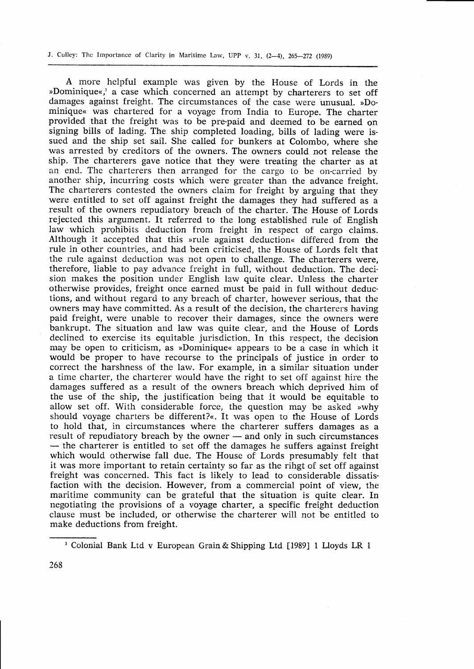J. Cullev: The Importance of Clarity in Maritime Law, UPP v. 31,  $(2-4)$ , 265-272 (1989)

A more helpful example was given by the House of Lords in the »Dominique«,<sup>3</sup> a case which concerned an attempt by charterers to set off damages against freight. The circumstances of the case were unusual. »Dominique« was chartered for a voyage from India to Europe. The charter provided that the freight was to be pre-paid and deemed to be earned on signing bills of lading. The ship completed loading, bills of lading were issued and the ship set sail. She called for bunkers at Colombo, where she was arrested by creditors of the owners. The owners could not release the ship. The charterers gave notice that they were treating the charter as at an end. The charterers then arranged for the cargo to be on-carriecl by another ship, incurring costs which were greater than the advance freight. The charterers contested the owners claim for freight by arguing that they were entitled to set off against freight the damages they had suffered as <sup>a</sup> result of the owners repudiatory breach of the charter. The House of Lords rejected this argument. It referred to the long established rule of Engtish law which prohibits deduction from freight in respect of cargo claims. Although it accepted that this »rule against deduction« differed from the rule in other countries, and had been criticised, the House of Lords felt that the rule against deduction was not open to challenge. The charterers were, therefore, liable to pay advance freight in full, without deduction. The decision makes the position under English law quite clear. Unless the charter otherwise provides, freight once earned must be paid in full without deductions, and without regard to any breach of charter, however serious, that the owners may have committed. As a result of the decision, the charterers having paid freight, were unable to recover their damages, since the owners were bankrupt. The situation and law was quite clear, and the House of Lords declined to exercise its equitable jurisdiction. In this respect, the decision may be open to criticism, as »Dominique« appears to be a case in which it would be proper to have recourse to the principals of justice in order to correct the harshness of the law. For example, in a similar situation under a time charter, the charterer would have the right to set off against hire the damages suffered as a result of the owners breach which deprived him of the use of the ship, the justification being that it would be equitable to allow set off. With considerable force, the question may be asked »why should voyage charters be different?«. It was open to the House of Lords to hold that, in circumstances where the charterer suffers damages as <sup>a</sup> result of repudiatory breach by the owner — and only in such circumstances In the replace of the comparison of the charterer is entitled to set off the damages he suffers against freight — the charterer is entitled to set off the damages he surfers against freight<br>which would otherwise fall due. The House of Lords presumably felt that it was more important to retain certainty so far as the rihgt of set off against freight was concerned. This fact is likely to lead to considerable dissatisfaction with the decision. However, from a commercial point of view, the maritime community can be grateful that the situation is quite clear. In negotiating the provisions of a voyage charter, a specific freight deduction clause must be included, or otherwise the charterer will not be entitled to make deductions from freight.

<sup>&</sup>lt;sup>3</sup> Colonial Bank Ltd v European Grain & Shipping Ltd [1989] 1 Lloyds LR 1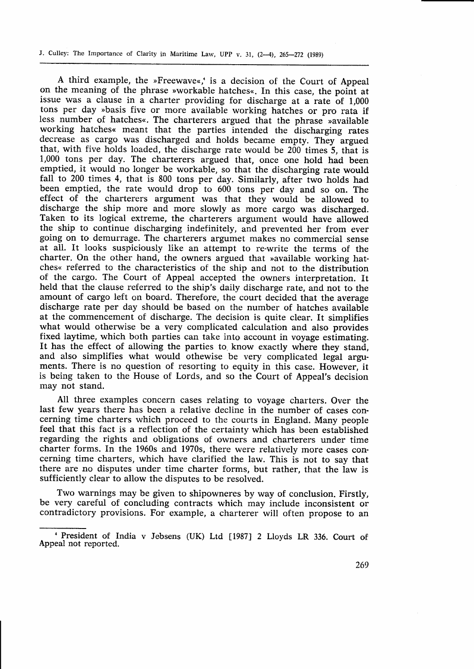J. Culley: The Importance of Clarity in Maritime Law, UPP v. 31,  $(2-4)$ ,  $265-272$  (1989)

A third example, the »Freewave«, is a decision of the Court of Appeal on the meaning of the phrase >workable hatches<. In this case, the point at issue was a clause in a charter providing for discharge at a rate of 1,000 tons per day »basis five or more available working hatches or pro rata if less number of hatches«. The charterers argued that the phrase »available working hatches< meant that the parties intended the discharging rates decrease as cargo was discharged and holds became empty. They argued that, with five holds loaded, the discharge rate would be 200 times 5, that is 1,000 tons per day. The charterers argued that, once one hold had been emptied, it would no longer be workable, so that the discharging rate would, fall to 200 times 4, that is 800 tons per day. Similarly, after two holds had been emptied, the rate would drop to 600 tons per day and so on. The effect of the charterers argument was that they would be allowed to discharge the ship more and more slowly as more cargo was discharged. Taken to its logical extreme, the charterers argument would have allowed the ship to continue discharging indefinitely, and prevented her from ever going on to demurrage. The charterers argumet makes no commercial sense at all. It looks suspiciously like an attempt to re-write the terms of the charter. On the other hand, the owners argued that »available working hat-<br>ches« referred to the characteristics of the ship and not to the distribution of the cargo. The Court of Appeal accepted the owners interpretation. It held that the clause referred to the ship's daily discharge rate, and not to the amount of cargo left on board. Therefore, the court decided that the average discharge rate per day should be based on the number of hatches available at the commencement of discharge. The decision is quite clear. It simplifies what would otherwise be a very complicated calculation and also provides fixed laytime, which both parties can take into account in voyage estimating. It has the effect of allowing the parties to. know exactly where they stand, and also simplifies what would othewise be very complicated legal arguments. There is no question of resorting to equity in this case. However, it is being taken to the House of Lords, and so the Court of Appeal's decision may not stand.

All three examples concern cases relating to voyage charters. Over the last few years there has been a relative decline in the number of cases concerning time charters which proceed to the courts in England. Many people feel that this fact is a reflection of the certainty which has been established regarding the rights and obligations of owners and charterers under time charter forms. In the 1960s and 1970s, there were relatively more cases concerning time charters, which have clarified the law. This is not to say that there are no disputes under time charter forms, but rather, that the law is sufficiently clear to allow the disputes to be resolved.

Two warnings may be given to shipowneres by way of conclusion. Firstly, be very careful of concluding contracts which may include inconsistent or contradictory provisions. For example, a charterer will often propose to an

<sup>&</sup>lt;sup>+</sup> President of India v Jebsens (UK) Ltd [1987] 2 Lloyds LR 336. Court of Appeal not reported.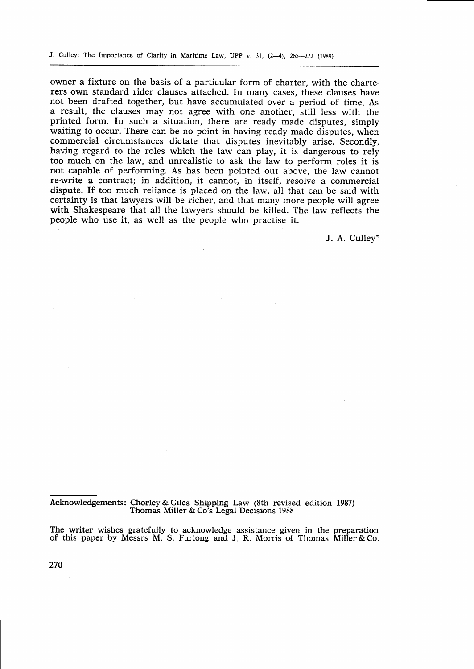owner a fixture on the basis of a particular form of charter, with the charterers own standard rider clauses attached. In many cases, these clauses have not been drafted together, but have accumulated over a period of time. As a result, the clauses may not agree with one another, still less with the printed form. In such a situation, there are ready made disputes, simply waiting to occur. There can be no point in having ready made disputes, when commercial circumstances dictate that disputes inevitably arise. Secondly, having regard to the roles which the law can play, it is dangerous to rely too much on the law, and unrealistic to ask the law to perform roles it is not capable of performing. As has been pointed out above, the law cannot re-write a contract; in addition, it cannot, in itself, resolve a commercial dispute. If too much reliance is placed on the law, all that can be said with certainty is that lawyers will be richer, and that many more people will agree with Shakespeare that all the lawyers should be killed. The law reflects the people who use it, as well as the people who practise it.

J. A. Culley\*

Acknowledgements: Chorley & Giles Shipping Law (8th revised edition 1987) Thomas Miller & Co's Legal Decisions 1988

The writer wishes gratefully to acknowledge assistance given in the preparation of this paper by Messrs M. S. Furlong and J. R. Morris of Thomas Miller & Co.

270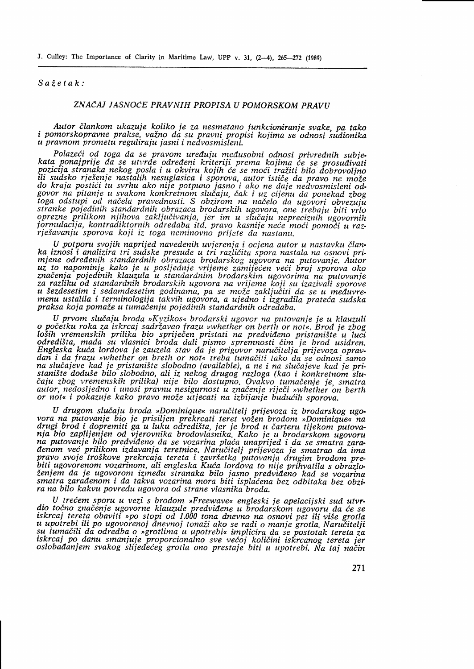## $S$ *ažetak:*

## ZNAČAJ JASNOCE PRAVNIH PROPISA U POMORSKOM PRAVIJ

Autor ilankom ukazuje koliko ie za nesmetano tunkcioniranie svake. pa tako <sup>i</sup>pomorskopravne prakse, vaino da su pravni propisi kojima se'odnosi sidionika u pravnom prometu reguliraju jasni i nedvosmisleni.

. Polazeći od toga da se pravom uređuju međusobni odnosi privrednih subjekata ponajprije da se utvrde određeni kriteriji prema kojima će se prosuđivati<br>pozicija stranaka nekog posla i u okviru kojih će se moći tražiti bilo poznativa sie nastalih nesuglasica i sporova, autor ističe da pravo ne može<br>do kraja postići tu svrhu ako nije potpuno jasno i ako ne daje nedvosmisleni od-<br>govor na pitanje u svakom konkretnom slučaju, čak i uz cijenu da govor na pitanje u svakom konkretnom slučaju, čak i uz cijenu da ponekad zbog.<br>govor na pitanje u svakom konkretnom slučaju, čak i uz cijenu da ponekad zbog.<br>toga odstupi od načela pravednosti. S obzirom na načelo da ugovo stranke pojedinih standardnih obrazaca brodarskih ugovora, one trebaju biti vrlo orrezne prilikom njihova zaključivanja, jer im u slučaju nepreciznih ugovornih formulacija, kontradiktornih odredaba itd. pravo kasnije neće moći pomoći u razrjeSavanju sporova koji iz toga neminovno prijete da nastanu.

U potporu svojih naprijed navedenih uvjerenja i ocjena autor u nastavku članka iznosi i analizira tri sudske presude u tri različita spora nastala na osnovi primiene odrellenih standardnih obrazaca brodarskog ugovora na putovanje. Aitor uz to napominje kako je u posljednje vrijeme zamijećen veći broj sporova oko<br>značenja pojedinih klauzula u standardnim brodarskim ugovorima-na putovanje za razliku od standardnih brodarskih ugovora na vrijeme koji su izozivali sporoie u šezdesetim i sedamdesetim godinama, pa se može zaključiti da se u međuvremenu ustalila i terminologija takvih ugovora, a ujedno i izgradila prateća sudska praksa koja pomaže u tumačenju pojedinih standardnih odredaba.

U prvom slučaju broda »Kyzikos« brodarski ugovor na putovanje je u klauzuli o početku roka za iskrcaj sadržavao frazu »whether on berth or not«. Brod je zbog<br>loših vremenskih prilika bio spriječen pristati na predviđeno pristanište u luci<br>odredišta, mada su vlasnici broda dali pismo spremnosti čim Engleska kuća lordova je zauzela stav da je prigovor naručitelja prijevoza opravdan i da frazu »whether on breth or not« treba tumačiti tako da se odnosi samo na slučajeve kad je pristanište slobodno (available), a ne i na slučajeve kad je pristanište doduše bilo slobodno, ali iz nekog drugog razloga (kao i konkretnom sluštaju zbog vremenskih prilika) nije bilo dostupno. Ovakvo čaju zbog vremenskih prilika) nije bilo dostupno. Ovakvo tumačenje je, smatra<br>autor, nedosljedno i unosi pravnu nesigurnost u značenje riječi »whether on berth or not« i pokazuje kako pravo može utjecati na izbijanje budućih sporova,

U drugom slučaju broda »Dominique« naručitelj prijevoza iz brodarskog ugovora na putovanje bio je prisiljen prekrcati teret vožen brodom »Dominique« na drugi brod i dopremiti ga u luku odredišta, jer je brod u čarteru tijekom putova-<br>nja bio zaplijenjen od. vjerovnika brodovlasnika. Kako je u brodarskom ugovoru na putovanje bilo predviđeno da se vozarina plaća unaprijed i da se smatra zara-<br>denom već prilikom izdavanja teretnice. Naručitelj prijevoza je smatrao da ima achom več prakom izdavanja teretate. Karacherj prijevoza je smatrao da tma<br>pravo svoje troškove prekrcaja tereta i završetka putovanja drugim brodom pre-<br>biti ugovorenom vozarinom, ali engleska Kuća lordova to nije prihvat ženiem da je ugovorom između stranaka bilo jasno predviđeno kad se vozarina smatra zaradenom i da takva vozarina mora biti ispladena bez odbitaka bez obzi. ra na bilo kakvu povredu ugovora od strane vlasnika broda.

U trećem sporu u vezi s brodom »Freewave« engleski je apelacijski sud utvr-<br>dio točno značenje ugovorne klauzule predviđene u brodarskom ugovoru da će se<br>iskrcaj tereta obaviti »po stopi od 1.000 tona dnevno na osnovi pet u upotrebi ili po ugovorenoj dnevnoj tonaži ako se radi o manje grotla. Naručitelji su tumačili da odredba o »grotlima u upotrebi« implicira da se postotak tereta za sa tamachi da odredba o »grottima a apotrebi« implicira da se postotak tereta za<br>iskrcaj po danu smanjuje proporcionalno sve većoj količini iskrcanog tereta jer<br>oslobađanjem svakog slijedećeg grotla ono prestaje biti u upo